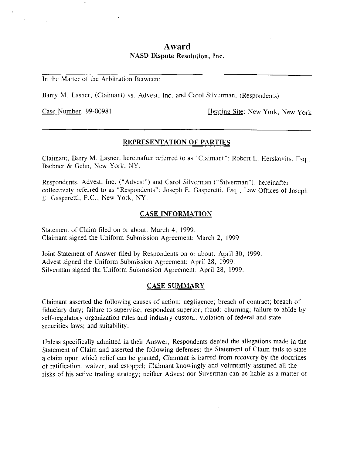# **Award**  NASD Dispute Resolution, Inc.

In the Matter of the Arbitration Between:

Barry M. Lasner. (Claimant) vs. Advest, inc. and Carol Silverman, (Respondents)

Case Number: 99-00981 Hearing Site: New York, New York

### REPRESENTATION **OF** PARTIES

Claimant, Barry M. Lasner, hereinafter referred to as "Claimant": Robert L. Herskovits, Esq., Bachner & Gehn, New York, NY.

Respondents, Advest, Inc. ("Advest") and Carol Silverman ("Silverman"), hereinafter collectivdy referred to as "Respondents": Joseph E. Gasperetti, Esq., Law Offices of Joseph E. Gasperetti, F.C., New York, NY.

#### **CASE INFORMATION**

Statement of Chim filed on or about: March **4,** 1999. Claimant signed the Uniform Submission Agreement: March 2, 1999.

Joint Statement of Answer filed by Respondents on or about: April 30, 1999, Advest signed the Uniform Submission Agreement: April 28, 1999. Silverman signed the Uniform Submission Agreement: April 28, 1999.

#### CASE SUMMARY

Claimant asserted the following causes of action: negligence; breach of contract; breach of fiduciary duty; failure to supervise; respondeat superior; fraud; churning; failure to abide by self-regulatory organization rules and industry custom; violation of federal and state securities laws; and suitability.

Unless specifically admitted in their Answer, Respondents denied the allegations made in the Statement of Claim and asserted the following defenses: the Statement of Claim fails to state a claim upon which relief can be granted; Claimant is barred from recovery by the doctrines of ratification, waiver, and estoppel; Claimant knowingly and voluntarily assumed all the risks of his active trading strategy; neither Advest nor Silverman can be liable as a matter of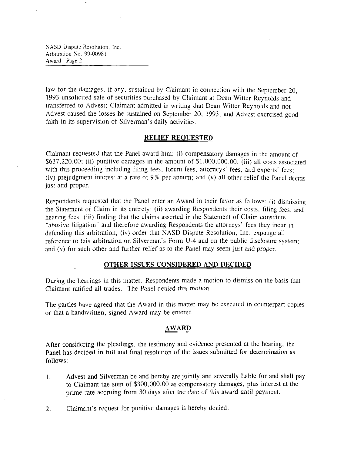NASD Dispute Resolution. Inc. Arbitration No. 99-00981 **Award** Page *2* 

law for the damages, if any, sustained by Claimant in connection with the September *20,*  1993 unsolicited sale of securities purchased by Claimant at Dean Witter Reynolds and transferred to Advest; Claimant admitted in writing that Dean Witter Reynolds and not Advest caused the losses he sustained on September *20,* 1993; and Advest exercised good faith in its supervision of Silverman's daily activities.

### **RELIEF REQUESTED**

Claimant requested that the Panel award him: (i) compensatory damages in the amount of  $$637,220.00$ ; (ii) punitive damages in the amount of \$1,000,000.00; (iii) all costs associated with this proceeding including filing fees, forum fees, attorneys' fees, and experts' fees; (iv) prejudgment interest at a rate of 9% per annum; and (v) all other relief the Panel deems just and proper.

Respondents requested that the Panel enter an Award in their favor as follows: (ij dismissing the Statement of Claim in its entirety; (ii) awarding Respondents their costs, filing fees. and hearing fees; (iii) finding that the claims asserted in the Statement of Claim constitute "abusive litigation" and therefore awarding Respondents the attorneys' fees they incur in defending this arbitration; (iv) order that NASD Dispute Resolution, Inc. expunge all reference to this arbitration on Silverman's Form **U-4** and on the public disclosure system; and (v) for such other and further Felief as to the Panel may seem just and proper.

### , **OTHER ISSUES CONSIDERED AND DECIDED**

During the hearings in this matter, Respondents made a motion to dismiss on the basis that Claimant ratified all trades. The Panel denied this motion.

The parties have agreed that the Award in this matter may be executed in counterpart copies or that a handwritten, signed Award may be entered.

### **AWARD**

After considering the pleadings, the testimony and evidence presented at the hearing, the Panel has decided in full and final resolution of the issues submitted for determination as follows:

- 1. Advest and Silverman be and hereby are jointly and severally liable for and shall pay to Claimant the sum of \$300,000.00 as compensatory damages, plus interest at the prime rate accruing from 30 days after the date of this award until payment.
- 2. Claimant's request for punitive damages is hereby denied.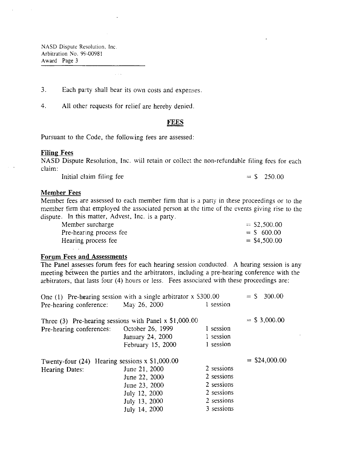NASD Dispute Resolution. Inc .Arbitration No. 99-0098 **<sup>1</sup> Award** Page 3

**3.** Each party shall bear its own costs and expenses,

4. All other requests for relief are hereby denied.

### **FEES**

Pursuant to the Code, the following fees are assessed:

#### **Filing Fees**

NASD Dispute Resolution, Inc. will retain or collect the non-refundable filing fees for each claim:

Initial claim filing fee  $=$  \$ 250.00

#### **Member Fees**

Member fees are assessed to each member firm that is a party in these proceedings or to the member firm that employed the associated person at the time of the events giving rise to the dispute. In this matter, Advest, Inc. is a party.

| Member surcharge        | $=$ \$2,500.00 |
|-------------------------|----------------|
| Pre-hearing process fee | $=$ \$ 600.00  |
| Hearing process fee     | $=$ \$4,500.00 |
| $\cdot$ $\cdot$         |                |

#### **Forum Fees and Assessments**

The Panel assesses forum fees for each hearing session conducted. A hearing session is any meeting between the parties and the arbitrators, including a pre-hearing conference with the arbitrators, that lasts four (4) hours or less. Fees associated with these proceedings are:

|                                                          | One $(1)$ Pre-hearing session with a single arbitrator x \$300.00 |            | $=$ \$ 300.00   |
|----------------------------------------------------------|-------------------------------------------------------------------|------------|-----------------|
| Pre-hearing conference: May 26, 2000                     |                                                                   | 1 session  |                 |
| Three $(3)$ Pre-hearing sessions with Panel x \$1,000.00 |                                                                   |            | $=$ \$ 3,000.00 |
| Pre-hearing conferences:                                 | October 26, 1999                                                  | 1 session  |                 |
|                                                          | January 24, 2000                                                  | 1 session  |                 |
|                                                          | February 15, 2000                                                 | 1 session  |                 |
| Twenty-four $(24)$ Hearing sessions x \$1,000.00         |                                                                   |            | $=$ \$24,000.00 |
| Hearing Dates:                                           | June 21, 2000                                                     | 2 sessions |                 |
|                                                          | June 22, 2000                                                     | 2 sessions |                 |
|                                                          | June 23, 2000                                                     | 2 sessions |                 |
|                                                          | July 12, 2000                                                     | 2 sessions |                 |
|                                                          | July 13, 2000                                                     | 2 sessions |                 |
|                                                          | July 14, 2000                                                     | 3 sessions |                 |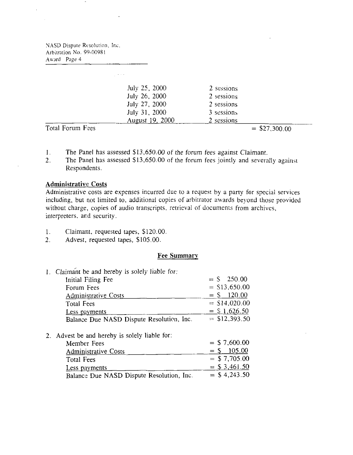Arbitration No. 99-00981 NASD Dispute Resolution, Inc. Award Page **4** 

 $\sim 10$  .

|                  | July 25, 2000   | 2 sessions |                 |
|------------------|-----------------|------------|-----------------|
|                  | July 26, 2000   | 2 sessions |                 |
|                  | July 27, 2000   | 2 sessions |                 |
|                  | July 31, 2000   | 3 sessions |                 |
|                  | August 19, 2000 | 2 sessions |                 |
| Total Forum Fees |                 |            | $=$ \$27,300.00 |

- 1. The Panel has assessed \$13,650.00 of the forum fees against Claimant.<br>2. The Panel has assessed \$13,650.00 of the forum fees jointly and several
- The Panel has assessed  $$13,650.00$  of the forum fees jointly and severally against Respondents.

## **Administrative Costs**

Administrative costs are expenses incurred due to a request by a party for special services including, but not limited to, additional copies of arbitrator awards beyond those provided without charge, copies of audio transcripts, retrieval of documents from archives, interpreters, and security.

- 1. Claimant, requested tapes, \$120.00
- 2. Advest, requested tapes, \$105.00.

# **Fee Summary**

| $= S$ 250.00     |
|------------------|
| $=$ \$13,650.00  |
| 120.00<br>$=$ \$ |
| $=$ \$14,020.00  |
| $=$ \$ 1,626.50  |
| $=$ \$12,393.50  |
|                  |

2. Advest be and hereby is solely liable for:

| Member Fees                               | $=$ \$ 7,600.00  |
|-------------------------------------------|------------------|
| Administrative Costs                      | 105.00<br>$=$ \$ |
| Total Fees                                | $=$ \$ 7,705.00  |
| Less payments                             | $=$ \$ 3,461.50  |
| Balance Due NASD Dispute Resolution, Inc. | $=$ \$ 4,243.50  |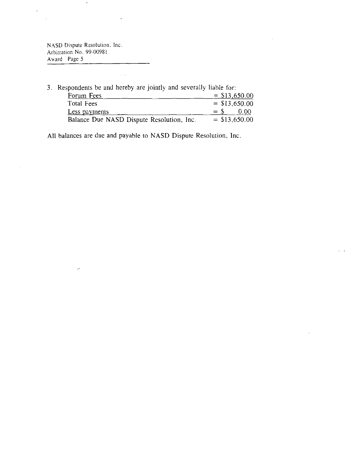NASD Dispute Resolution, Inc.<br>Arbitration No. 99-00981 Award Page *5* 

╭

 $\tilde{\phantom{a}}$ 

 $\ddot{\phantom{0}}$ 

 $\frac{1}{2}$  ,  $\frac{1}{2}$  ,  $\frac{1}{2}$ 

Ŷ,

 $\bar{\beta}$ 

 $\boldsymbol{\cdot}$ 

| 3. Respondents be and hereby are jointly and severally liable for: |                 |
|--------------------------------------------------------------------|-----------------|
| Forum Fees                                                         | $=$ \$13,650.00 |
| Total Fees                                                         | $=$ \$13,650.00 |
| Less payments                                                      | 0.00<br>$=$ S   |
| Balance Due NASD Dispute Resolution, Inc.                          | $=$ \$13,650.00 |

 $\bar{z}$ 

 $\hat{z} = \hat{z}$ 

All balances are due and payable to NASD Dispute Resolution, Inc.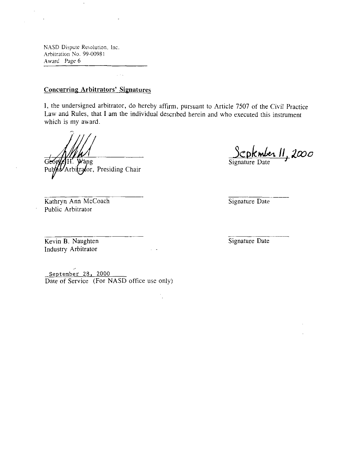NASD Dispute Resolution, Inc. Arbitration No. 99-00981 Award Page 6

J.

 $\cdot$ 

# **Concurring Arbitrators' Signatures**

**I,** the undersigned arbitrator, do hereby affirm, pursuant to Article 7507 of the Civil Practice Law and Rules, that **I** am the individual descrlbed herein and who executed this instrument which is my award.

Wang

or, Presiding Chair

**kPk&** Ir; *2mo* 

Signature Date

Kathryn Ann McCoach Public Arbitrator

Signature Date

Kevin B. Naughten Industry Arbitrator

Signature Date

**September** 28, *2000*  , Date of Service (For NASD office use only)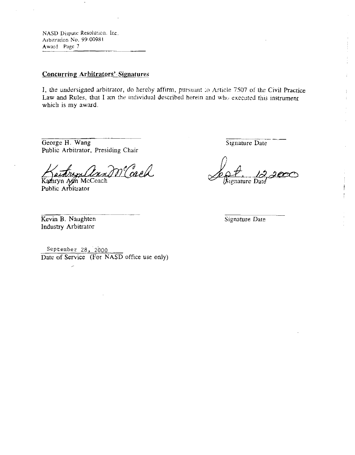NASD Dispute Resolution. Inc. Arbitration No. 99-00981 Award Page 7

# **Concurring Arbitrators' Signatures**

I, the undersigned arbitrator, do hereby affirm, pursuant to Article 7507 of the Civil Practice Law and Rules, that I am the individual described herein and who executed this instrument which is my award.

George H. Wang Public Arbitrator, Presiding Chair

m Cach

Kamryn Am McCoach Public Arbitrator

Signature Date

÷

Signature Date

Kevin B. Naughten Industry Arbitrator

مر

Signature Date

September 28, 2000 Date of Service (For NASD office use only)